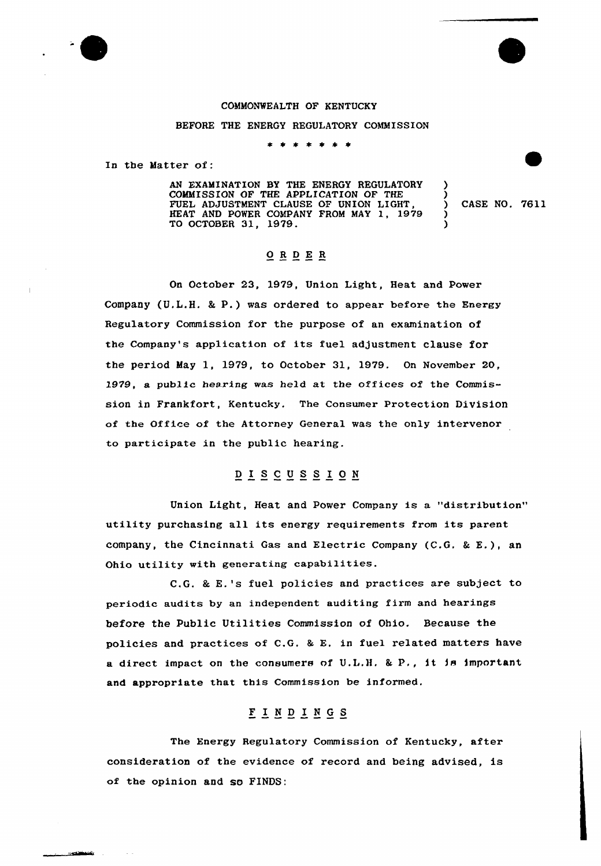

## BEFORE THE ENERGY REGULATORY COMMISSION

\* \* \*  $\bullet$ 

In the Matter of:

متحصصات

AN EXAMINATION BY THE ENERGY REGULATORY COMMISSION OF THE APPLICATION OF THE FUEL ADJUSTMENT CLAUSE OF UNION LIGHT,<br>HEAT AND POWER COMPANY FROM MAY 1, 1979<br>TO OCTOBER 31, 1979 TO OCTOBER 31, 1979.

) CASE NO. 7611

 $\frac{1}{2}$ 2

) )

## ORDER

On October 23, 1979, Union Light, Heat and Power Company (U.L.H. & P.) was ordered to appear before the Energy Regulatory Commission for the purpose of an examination of the Company's application of its fuel adjustment clause for the period May 1, 1979, to October 31, 1979. On November 20, 1979, a public hearing was held at the offices of the Commission in Frankfort, Kentucky. The Consumer Pxotection Division of the Office of the Attorney General was the only intervenor to paxticipate in the public hearing.

## DISCUSSION

Union Light, Heat and Power Company is a "distribution" utility purchasing all its energy requirements from its parent company, the Cincinnati Gas and Electric Company  $(C.G. & E.)$ , an Ohio utility with generating capabilities.

 $C, G$ . & E.'s fuel policies and practices are subject to periodic audits by an independent auditing firm and hearings before the Public Utilities Commission of Ohio. Because the policies and practices of C.G. & E. in fuel related matters have a direct impact on the consumers of U.L.H. & P., it is important and appropriate that this Commission be informed.

## F I <sup>N</sup> <sup>D</sup> I <sup>N</sup> <sup>G</sup> S

The Energy Regulatory Commission of Kentucky, after consideration of the evidence of record and being advised, is of the opinion and so FINDS: